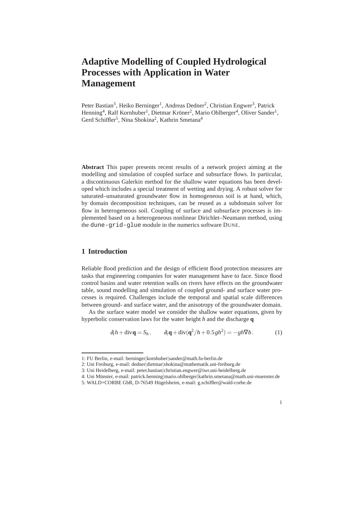# **Adaptive Modelling of Coupled Hydrological Processes with Application in Water Management**

Peter Bastian<sup>3</sup>, Heiko Berninger<sup>1</sup>, Andreas Dedner<sup>2</sup>, Christian Engwer<sup>3</sup>, Patrick Henning<sup>4</sup>, Ralf Kornhuber<sup>1</sup>, Dietmar Kröner<sup>2</sup>, Mario Ohlberger<sup>4</sup>, Oliver Sander<sup>1</sup>, Gerd Schiffler<sup>5</sup>, Nina Shokina<sup>2</sup>, Kathrin Smetana<sup>4</sup>

**Abstract** This paper presents recent results of a network project aiming at the modelling and simulation of coupled surface and subsurface flows. In particular, a discontinuous Galerkin method for the shallow water equations has been developed which includes a special treatment of wetting and drying. A robust solver for saturated–unsaturated groundwater flow in homogeneous soil is at hand, which, by domain decomposition techniques, can be reused as a subdomain solver for flow in heterogeneous soil. Coupling of surface and subsurface processes is implemented based on a heterogeneous nonlinear Dirichlet–Neumann method, using the dune-grid-glue module in the numerics software DUNE.

#### **1 Introduction**

Reliable flood prediction and the design of efficient flood protection measures are tasks that engineering companies for water management have to face. Since flood control basins and water retention walls on rivers have effects on the groundwater table, sound modelling and simulation of coupled ground- and surface water processes is required. Challenges include the temporal and spatial scale differences between ground- and surface water, and the anisotropy of the groundwater domain.

As the surface water model we consider the shallow water equations, given by hyperbolic conservation laws for the water height *h* and the discharge **q**

$$
\partial_t h + \operatorname{div} \mathbf{q} = S_h, \qquad \partial_t \mathbf{q} + \operatorname{div} (\mathbf{q}^2 / h + 0.5 g h^2) = -gh \nabla b. \tag{1}
$$

<sup>1:</sup> FU Berlin, e-mail: berninger|kornhuber|sander@math.fu-berlin.de

<sup>2:</sup> Uni Freiburg, e-mail: dedner|dietmar|shokina@mathematik.uni-freiburg.de

<sup>3:</sup> Uni Heidelberg, e-mail: peter.bastian|christian.engwer@iwr.uni-heidelberg.de

<sup>4:</sup> Uni Münster, e-mail: patrick.henning|mario.ohlberger|kathrin.smetana@math.uni-muenster.de

<sup>5:</sup> WALD+CORBE GbR, D-76549 Hügelsheim, e-mail: g.schiffler@wald-corbe.de

<sup>1</sup>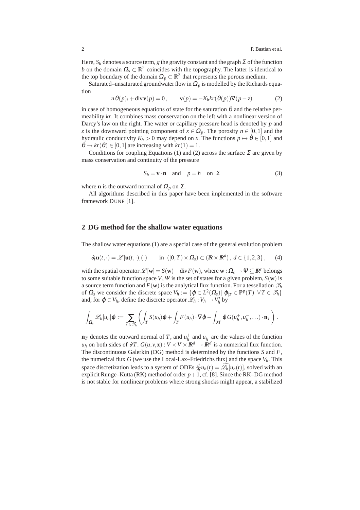Here,  $S_h$  denotes a source term, *g* the gravity constant and the graph  $\Sigma$  of the function *b* on the domain  $\Omega_s \subset \mathbb{R}^2$  coincides with the topography. The latter is identical to the top boundary of the domain  $\Omega_p \subset \mathbb{R}^3$  that represents the porous medium.

Saturated–unsaturated groundwater flow in  $\Omega$ <sub>p</sub> is modelled by the Richards equation

$$
n \theta(p)_t + \text{div}\mathbf{v}(p) = 0, \qquad \mathbf{v}(p) = -K_h kr(\theta(p))\nabla(p-z)
$$
 (2)

in case of homogeneous equations of state for the saturation  $\theta$  and the relative permeability *kr*. It combines mass conservation on the left with a nonlinear version of Darcy's law on the right. The water or capillary pressure head is denoted by *p* and *z* is the downward pointing component of  $x \in \Omega_p$ . The porosity  $n \in [0,1]$  and the hydraulic conductivity  $K_h > 0$  may depend on *x*. The functions  $p \mapsto \theta \in [0,1]$  and  $\theta \rightarrow kr(\theta) \in [0,1]$  are increasing with  $kr(1) = 1$ .

Conditions for coupling Equations (1) and (2) across the surface  $\Sigma$  are given by mass conservation and continuity of the pressure

$$
S_h = \mathbf{v} \cdot \mathbf{n} \quad \text{and} \quad p = h \quad \text{on } \Sigma \tag{3}
$$

where **n** is the outward normal of  $\Omega_p$  on  $\Sigma$ .

All algorithms described in this paper have been implemented in the software framework DUNE [1].

#### **2 DG method for the shallow water equations**

The shallow water equations (1) are a special case of the general evolution problem

$$
\partial_t \mathbf{u}(t,\cdot) = \mathscr{L}[\mathbf{u}(t,\cdot)](\cdot) \quad \text{in } ([0,T) \times \Omega_s) \subset (\mathbb{R} \times \mathbb{R}^d), \ d \in \{1,2,3\}, \tag{4}
$$

with the spatial operator  $\mathscr{L}[\mathbf{w}] = S(\mathbf{w}) - \text{div } F(\mathbf{w})$ , where  $\mathbf{w} : \Omega_s \to \Psi \subseteq \mathbb{R}^r$  belongs to some suitable function space *V*,  $\Psi$  is the set of states for a given problem,  $S(\mathbf{w})$  is a source term function and  $F(\mathbf{w})$  is the analytical flux function. For a tessellation  $\mathcal{T}_h$ of  $\Omega_s$  we consider the discrete space  $V_h := \{ \varphi \in L^2(\Omega_s) | \varphi_{|T} \in \mathbb{P}^p(T) \ \forall T \in \mathcal{T}_h \}$ and, for  $\varphi \in V_h$ , define the discrete operator  $\mathcal{L}_h : V_h \to V_h'$  by

$$
\int_{\Omega_{s}}\mathscr{L}_{h}[u_{h}]\varphi := \sum_{T\in\mathscr{T}_{h}}\left(\int_{T}S(u_{h})\varphi + \int_{T}F(u_{h})\cdot\nabla\varphi - \int_{\partial T}\varphi G(u_{h}^{+},u_{h}^{-},\ldots)\cdot\mathbf{n}_{T}\right).
$$

**n**<sub>*T*</sub> denotes the outward normal of *T*, and  $u_h^+$  and  $u_h^-$  are the values of the function *u*<sup>*h*</sup> on both sides of ∂*T*.  $G(u, v, \mathbf{x}) : V \times V \times \mathbb{R}^d \to \mathbb{R}^d$  is a numerical flux function. The discontinuous Galerkin (DG) method is determined by the functions *S* and *F*, the numerical flux *G* (we use the Local-Lax–Friedrichs flux) and the space  $V_h$ . This space discretization leads to a system of ODEs  $\frac{d}{dt}u_h(t) = \mathcal{L}_h[u_h(t)]$ , solved with an explicit Runge–Kutta (RK) method of order  $p+1$ , cf. [8]. Since the RK–DG method is not stable for nonlinear problems where strong shocks might appear, a stabilized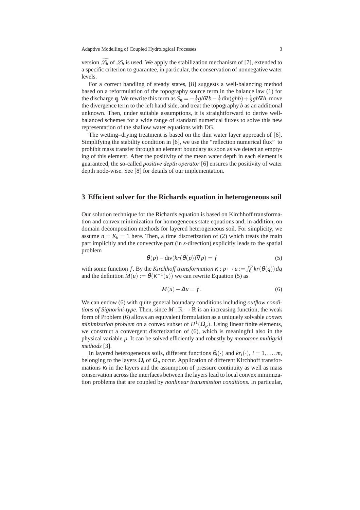version  $\mathcal{L}_h$  of  $\mathcal{L}_h$  is used. We apply the stabilization mechanism of [7], extended to a specific criterion to guarantee, in particular, the conservation of nonnegative water levels.

For a correct handling of steady states, [8] suggests a well-balancing method based on a reformulation of the topography source term in the balance law (1) for the discharge **q**. We rewrite this term as  $\bar{S}_q = -\frac{1}{2}gh\nabla b - \frac{1}{2}div(ghb) + \frac{1}{2}gb\nabla h$ , move the divergence term to the left hand side, and treat the topography *b* as an additional unknown. Then, under suitable assumptions, it is straightforward to derive wellbalanced schemes for a wide range of standard numerical fluxes to solve this new representation of the shallow water equations with DG.

The wetting–drying treatment is based on the thin water layer approach of [6]. Simplifying the stability condition in [6], we use the "reflection numerical flux" to prohibit mass transfer through an element boundary as soon as we detect an emptying of this element. After the positivity of the mean water depth in each element is guaranteed, the so-called *positive depth operator* [6] ensures the positivity of water depth node-wise. See [8] for details of our implementation.

### **3 Efficient solver for the Richards equation in heterogeneous soil**

Our solution technique for the Richards equation is based on Kirchhoff transformation and convex minimization for homogeneous state equations and, in addition, on domain decomposition methods for layered heterogeneous soil. For simplicity, we assume  $n = K_h = 1$  here. Then, a time discretization of (2) which treats the main part implicitly and the convective part (in *z*-direction) explicitly leads to the spatial problem

$$
\theta(p) - \operatorname{div}(kr(\theta(p))\nabla p) = f \tag{5}
$$

with some function *f*. By the *Kirchhoff transformation*  $\kappa : p \mapsto u := \int_0^p kr(\theta(q)) dq$ and the definition  $M(u) := \theta(\kappa^{-1}(u))$  we can rewrite Equation (5) as

$$
M(u) - \Delta u = f. \tag{6}
$$

We can endow (6) with quite general boundary conditions including *outflow conditions of Signorini-type*. Then, since  $M : \mathbb{R} \to \mathbb{R}$  is an increasing function, the weak form of Problem (6) allows an equivalent formulation as a uniquely solvable *convex minimization problem* on a convex subset of  $H^1(\Omega_p)$ . Using linear finite elements, we construct a convergent discretization of (6), which is meaningful also in the physical variable *p*. It can be solved efficiently and robustly by *monotone multigrid methods* [3].

In layered heterogeneous soils, different functions  $\theta_i(\cdot)$  and  $kr_i(\cdot), i = 1, \ldots, m$ , belonging to the layers  $\Omega_i$  of  $\Omega_p$  occur. Application of different Kirchhoff transformations  $\kappa_i$  in the layers and the assumption of pressure continuity as well as mass conservation across the interfaces between the layers lead to local convex minimization problems that are coupled by *nonlinear transmission conditions.* In particular,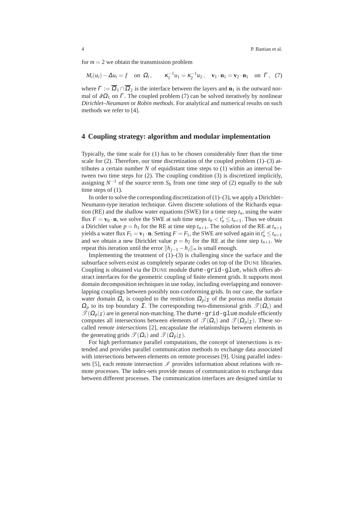for  $m = 2$  we obtain the transmission problem

$$
M_i(u_i) - \Delta u_i = f
$$
 on  $\Omega_i$ ,  $\kappa_1^{-1} u_1 = \kappa_2^{-1} u_2$ ,  $\mathbf{v}_1 \cdot \mathbf{n}_1 = \mathbf{v}_2 \cdot \mathbf{n}_1$  on  $\Gamma$ , (7)

where  $\Gamma := \overline{\Omega}_1 \cap \overline{\Omega}_2$  is the interface between the layers and  $\mathbf{n}_1$  is the outward normal of  $\partial \Omega_1$  on  $\Gamma$ . The coupled problem (7) can be solved iteratively by nonlinear *Dirichlet–Neumann* or *Robin methods*. For analytical and numerical results on such methods we refer to [4].

# **4 Coupling strategy: algorithm and modular implementation**

Typically, the time scale for (1) has to be chosen considerably finer than the time scale for  $(2)$ . Therefore, our time discretization of the coupled problem  $(1)$ – $(3)$  attributes a certain number  $N$  of equidistant time steps to  $(1)$  within an interval between two time steps for (2). The coupling condition (3) is discretized implicitly, assigning  $N^{-1}$  of the source term  $S_h$  from one time step of (2) equally to the sub time steps of  $(1)$ .

In order to solve the corresponding discretization of  $(1)$ – $(3)$ , we apply a Dirichlet– Neumann-type iteration technique. Given discrete solutions of the Richards equation (RE) and the shallow water equations (SWE) for a time step  $t_n$ , using the water flux  $F = \mathbf{v}_0 \cdot \mathbf{n}$ , we solve the SWE at sub time steps  $t_n < t_n^i \le t_{n+1}$ . Thus we obtain a Dirichlet value  $p = h_1$  for the RE at time step  $t_{n+1}$ . The solution of the RE at  $t_{n+1}$ yields a water flux  $F_1 = \mathbf{v}_1 \cdot \mathbf{n}$ . Setting  $F = F_1$ , the SWE are solved again in  $t_n^i \le t_{n+1}$ and we obtain a new Dirichlet value  $p = h_2$  for the RE at the time step  $t_{n+1}$ . We repeat this iteration until the error  $||h_{j-1} - h_j||_{\infty}$  is small enough.

Implementing the treatment of  $(1)$ – $(3)$  is challenging since the surface and the subsurface solvers exist as completely separate codes on top of the DUNE libraries. Coupling is obtained via the DUNE module dune-grid-glue, which offers abstract interfaces for the geometric coupling of finite element grids. It supports most domain decomposition techniques in use today, including overlapping and nonoverlapping couplings between possibly non-conforming grids. In our case, the surface water domain  $\Omega_s$  is coupled to the restriction  $\Omega_p|_{\Sigma}$  of the porous media domain  $\Omega_p$  to its top boundary  $\Sigma$ . The corresponding two-dimensional grids  $\mathcal{T}(\Omega_s)$  and  $\mathcal{T}(\Omega_p|\Sigma)$  are in general non-matching. The dune-grid-glue module efficiently computes all intersections between elements of  $\mathcal{T}(\Omega_s)$  and  $\mathcal{T}(\Omega_p)_{\Sigma}$ ). These socalled *remote intersections* [2], encapsulate the relationships between elements in the generating grids  $\mathscr{T}(\Omega_s)$  and  $\mathscr{T}(\Omega_n|_{\Sigma})$ .

For high performance parallel computations, the concept of intersections is extended and provides parallel communication methods to exchange data associated with intersections between elements on remote processes [9]. Using parallel indexsets [5], each remote intersection  $\mathscr I$  provides information about relations with remote processes. The index-sets provide means of communication to exchange data between different processes. The communication interfaces are designed similar to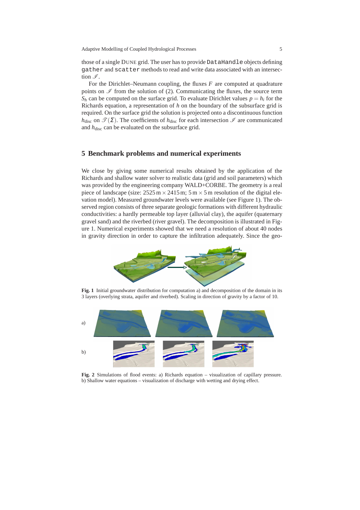those of a single DUNE grid. The user has to provide DataHandle objects defining gather and scatter methods to read and write data associated with an intersection  $\mathscr I$ .

For the Dirichlet–Neumann coupling, the fluxes *F* are computed at quadrature points on  $\mathscr I$  from the solution of (2). Communicating the fluxes, the source term  $S_h$  can be computed on the surface grid. To evaluate Dirichlet values  $p = h_i$  for the Richards equation, a representation of *h* on the boundary of the subsurface grid is required. On the surface grid the solution is projected onto a discontinuous function *h*<sub>disc</sub> on  $\mathcal{T}(\Sigma)$ . The coefficients of *h*<sub>disc</sub> for each intersection  $\mathcal{I}$  are communicated and  $h_{\text{disc}}$  can be evaluated on the subsurface grid.

# **5 Benchmark problems and numerical experiments**

We close by giving some numerical results obtained by the application of the Richards and shallow water solver to realistic data (grid and soil parameters) which was provided by the engineering company WALD+CORBE. The geometry is a real piece of landscape (size:  $2525 \text{ m} \times 2415 \text{ m}$ ;  $5 \text{ m} \times 5 \text{ m}$  resolution of the digital elevation model). Measured groundwater levels were available (see Figure 1). The observed region consists of three separate geologic formations with different hydraulic conductivities: a hardly permeable top layer (alluvial clay), the aquifer (quaternary gravel sand) and the riverbed (river gravel). The decomposition is illustrated in Figure 1. Numerical experiments showed that we need a resolution of about 40 nodes in gravity direction in order to capture the infiltration adequately. Since the geo-



**Fig. 1** Initial groundwater distribution for computation a) and decomposition of the domain in its 3 layers (overlying strata, aquifer and riverbed). Scaling in direction of gravity by a factor of 10.



**Fig. 2** Simulations of flood events: a) Richards equation – visualization of capillary pressure. b) Shallow water equations – visualization of discharge with wetting and drying effect.